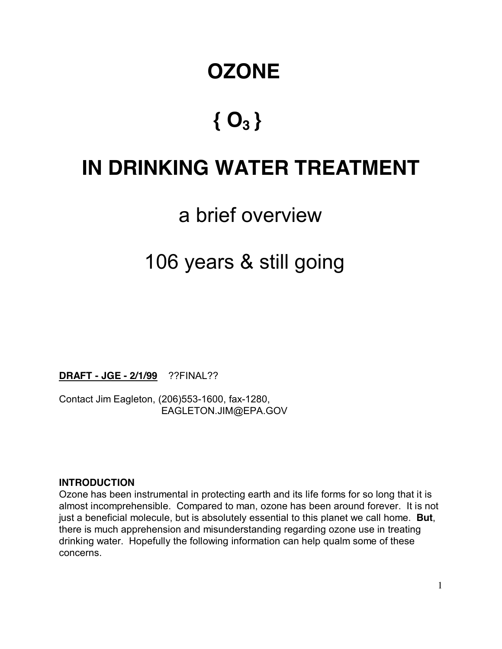# **OZONE**

# **{ O3 }**

# **IN DRINKING WATER TREATMENT**

# a brief overview

# 106 years & still going

**DRAFT - JGE - 2/1/99** ??FINAL??

Contact Jim Eagleton, (206)553-1600, fax-1280, EAGLETON.JIM@EPA.GOV

#### **INTRODUCTION**

Ozone has been instrumental in protecting earth and its life forms for so long that it is almost incomprehensible. Compared to man, ozone has been around forever. It is not just a beneficial molecule, but is absolutely essential to this planet we call home. **But**, there is much apprehension and misunderstanding regarding ozone use in treating drinking water. Hopefully the following information can help qualm some of these concerns.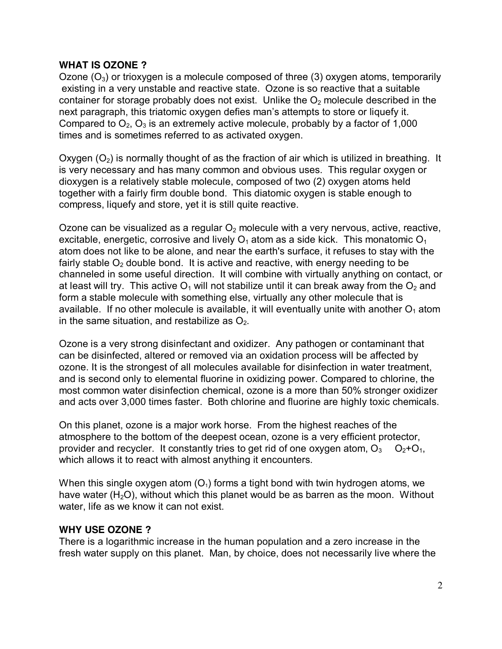#### **WHAT IS OZONE ?**

Ozone  $(O_3)$  or trioxygen is a molecule composed of three (3) oxygen atoms, temporarily existing in a very unstable and reactive state. Ozone is so reactive that a suitable container for storage probably does not exist. Unlike the  $O<sub>2</sub>$  molecule described in the next paragraph, this triatomic oxygen defies man's attempts to store or liquefy it. Compared to  $O_2$ ,  $O_3$  is an extremely active molecule, probably by a factor of 1,000 times and is sometimes referred to as activated oxygen.

Oxygen  $(O_2)$  is normally thought of as the fraction of air which is utilized in breathing. It is very necessary and has many common and obvious uses. This regular oxygen or dioxygen is a relatively stable molecule, composed of two (2) oxygen atoms held together with a fairly firm double bond. This diatomic oxygen is stable enough to compress, liquefy and store, yet it is still quite reactive.

Ozone can be visualized as a regular  $O<sub>2</sub>$  molecule with a very nervous, active, reactive, excitable, energetic, corrosive and lively  $O_1$  atom as a side kick. This monatomic  $O_1$ atom does not like to be alone, and near the earth's surface, it refuses to stay with the fairly stable  $O<sub>2</sub>$  double bond. It is active and reactive, with energy needing to be channeled in some useful direction. It will combine with virtually anything on contact, or at least will try. This active  $O_1$  will not stabilize until it can break away from the  $O_2$  and form a stable molecule with something else, virtually any other molecule that is available. If no other molecule is available, it will eventually unite with another  $O_1$  atom in the same situation, and restabilize as  $O<sub>2</sub>$ .

Ozone is a very strong disinfectant and oxidizer. Any pathogen or contaminant that can be disinfected, altered or removed via an oxidation process will be affected by ozone. It is the strongest of all molecules available for disinfection in water treatment, and is second only to elemental fluorine in oxidizing power. Compared to chlorine, the most common water disinfection chemical, ozone is a more than 50% stronger oxidizer and acts over 3,000 times faster. Both chlorine and fluorine are highly toxic chemicals.

On this planet, ozone is a major work horse. From the highest reaches of the atmosphere to the bottom of the deepest ocean, ozone is a very efficient protector, provider and recycler. It constantly tries to get rid of one oxygen atom,  $O_3$   $O_2+O_1$ , which allows it to react with almost anything it encounters.

When this single oxygen atom  $(O_1)$  forms a tight bond with twin hydrogen atoms, we have water  $(H_2O)$ , without which this planet would be as barren as the moon. Without water, life as we know it can not exist.

#### **WHY USE OZONE ?**

There is a logarithmic increase in the human population and a zero increase in the fresh water supply on this planet. Man, by choice, does not necessarily live where the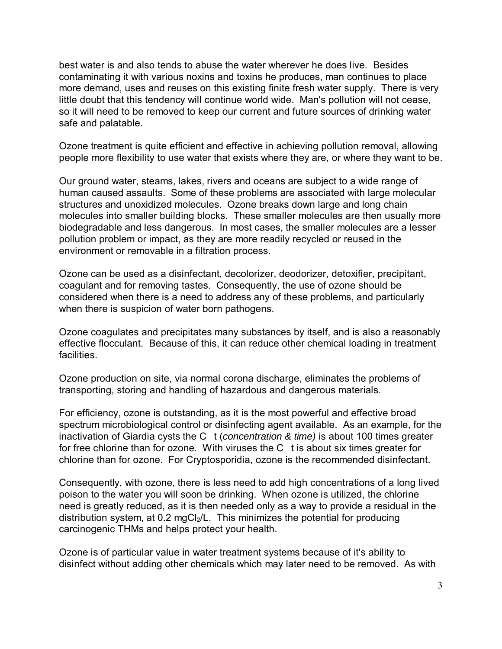best water is and also tends to abuse the water wherever he does live. Besides contaminating it with various noxins and toxins he produces, man continues to place more demand, uses and reuses on this existing finite fresh water supply. There is very little doubt that this tendency will continue world wide. Man's pollution will not cease, so it will need to be removed to keep our current and future sources of drinking water safe and palatable.

Ozone treatment is quite efficient and effective in achieving pollution removal, allowing people more flexibility to use water that exists where they are, or where they want to be.

Our ground water, steams, lakes, rivers and oceans are subject to a wide range of human caused assaults. Some of these problems are associated with large molecular structures and unoxidized molecules. Ozone breaks down large and long chain molecules into smaller building blocks. These smaller molecules are then usually more biodegradable and less dangerous. In most cases, the smaller molecules are a lesser pollution problem or impact, as they are more readily recycled or reused in the environment or removable in a filtration process.

Ozone can be used as a disinfectant, decolorizer, deodorizer, detoxifier, precipitant, coagulant and for removing tastes. Consequently, the use of ozone should be considered when there is a need to address any of these problems, and particularly when there is suspicion of water born pathogens.

Ozone coagulates and precipitates many substances by itself, and is also a reasonably effective flocculant. Because of this, it can reduce other chemical loading in treatment **facilities** 

Ozone production on site, via normal corona discharge, eliminates the problems of transporting, storing and handling of hazardous and dangerous materials.

For efficiency, ozone is outstanding, as it is the most powerful and effective broad spectrum microbiological control or disinfecting agent available. As an example, for the inactivation of Giardia cysts the C  $t$  (concentration & time) is about 100 times greater for free chlorine than for ozone. With viruses the C t is about six times greater for chlorine than for ozone. For Cryptosporidia, ozone is the recommended disinfectant.

Consequently, with ozone, there is less need to add high concentrations of a long lived poison to the water you will soon be drinking. When ozone is utilized, the chlorine need is greatly reduced, as it is then needed only as a way to provide a residual in the distribution system, at  $0.2 \text{ mgC}$ <sub>2</sub>/L. This minimizes the potential for producing carcinogenic THMs and helps protect your health.

Ozone is of particular value in water treatment systems because of it's ability to disinfect without adding other chemicals which may later need to be removed. As with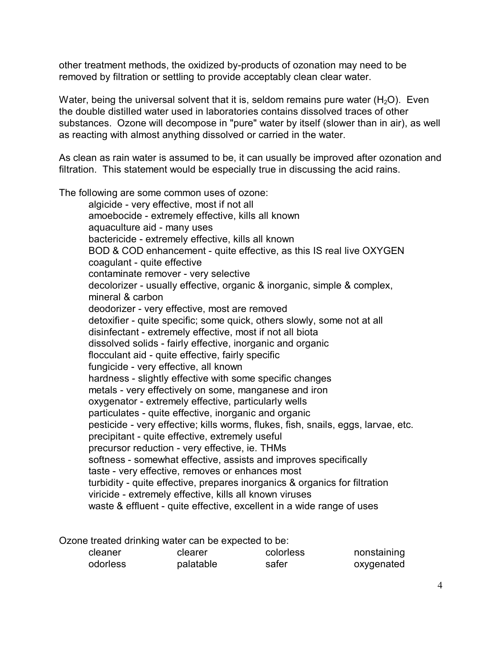other treatment methods, the oxidized by-products of ozonation may need to be removed by filtration or settling to provide acceptably clean clear water.

Water, being the universal solvent that it is, seldom remains pure water  $(H<sub>2</sub>O)$ . Even the double distilled water used in laboratories contains dissolved traces of other substances. Ozone will decompose in "pure" water by itself (slower than in air), as well as reacting with almost anything dissolved or carried in the water.

As clean as rain water is assumed to be, it can usually be improved after ozonation and filtration. This statement would be especially true in discussing the acid rains.

The following are some common uses of ozone:

algicide - very effective, most if not all amoebocide - extremely effective, kills all known aquaculture aid - many uses bactericide - extremely effective, kills all known BOD & COD enhancement - quite effective, as this IS real live OXYGEN coagulant - quite effective contaminate remover - very selective decolorizer - usually effective, organic & inorganic, simple & complex, mineral & carbon deodorizer - very effective, most are removed detoxifier - quite specific; some quick, others slowly, some not at all disinfectant - extremely effective, most if not all biota dissolved solids - fairly effective, inorganic and organic flocculant aid - quite effective, fairly specific fungicide - very effective, all known hardness - slightly effective with some specific changes metals - very effectively on some, manganese and iron oxygenator - extremely effective, particularly wells particulates - quite effective, inorganic and organic pesticide - very effective; kills worms, flukes, fish, snails, eggs, larvae, etc. precipitant - quite effective, extremely useful precursor reduction - very effective, ie. THMs softness - somewhat effective, assists and improves specifically taste - very effective, removes or enhances most turbidity - quite effective, prepares inorganics & organics for filtration viricide - extremely effective, kills all known viruses waste & effluent - quite effective, excellent in a wide range of uses

Ozone treated drinking water can be expected to be: cleaner clearer colorless nonstaining odorless palatable safer oxygenated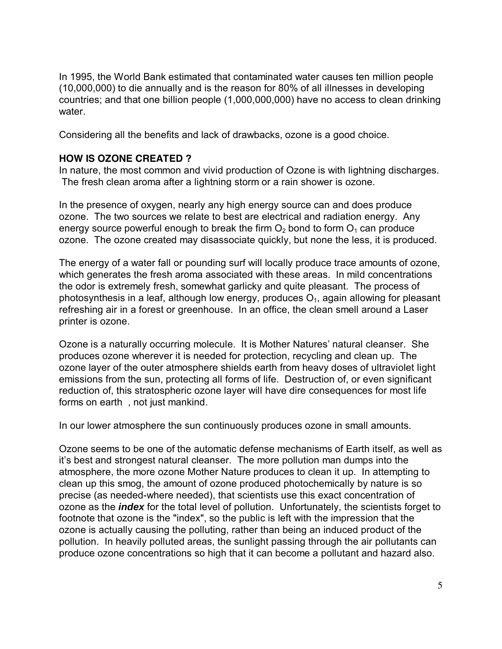In 1995, the World Bank estimated that contaminated water causes ten million people (10,000,000) to die annually and is the reason for 80% of all illnesses in developing countries; and that one billion people (1,000,000,000) have no access to clean drinking water.

Considering all the benefits and lack of drawbacks, ozone is a good choice.

### **HOW IS OZONE CREATED ?**

In nature, the most common and vivid production of Ozone is with lightning discharges. The fresh clean aroma after a lightning storm or a rain shower is ozone.

In the presence of oxygen, nearly any high energy source can and does produce ozone. The two sources we relate to best are electrical and radiation energy. Any energy source powerful enough to break the firm  $O<sub>2</sub>$  bond to form  $O<sub>1</sub>$  can produce ozone. The ozone created may disassociate quickly, but none the less, it is produced.

The energy of a water fall or pounding surf will locally produce trace amounts of ozone, which generates the fresh aroma associated with these areas. In mild concentrations the odor is extremely fresh, somewhat garlicky and quite pleasant. The process of photosynthesis in a leaf, although low energy, produces  $O<sub>1</sub>$ , again allowing for pleasant refreshing air in a forest or greenhouse. In an office, the clean smell around a Laser printer is ozone.

Ozone is a naturally occurring molecule. It is Mother Natures' natural cleanser. She produces ozone wherever it is needed for protection, recycling and clean up. The ozone layer of the outer atmosphere shields earth from heavy doses of ultraviolet light emissions from the sun, protecting all forms of life. Destruction of, or even significant reduction of, this stratospheric ozone layer will have dire consequences for most life forms on earth , not just mankind.

In our lower atmosphere the sun continuously produces ozone in small amounts.

Ozone seems to be one of the automatic defense mechanisms of Earth itself, as well as it's best and strongest natural cleanser. The more pollution man dumps into the atmosphere, the more ozone Mother Nature produces to clean it up. In attempting to clean up this smog, the amount of ozone produced photochemically by nature is so precise (as needed-where needed), that scientists use this exact concentration of ozone as the **index** for the total level of pollution. Unfortunately, the scientists forget to footnote that ozone is the "index", so the public is left with the impression that the ozone is actually causing the polluting, rather than being an induced product of the pollution. In heavily polluted areas, the sunlight passing through the air pollutants can produce ozone concentrations so high that it can become a pollutant and hazard also.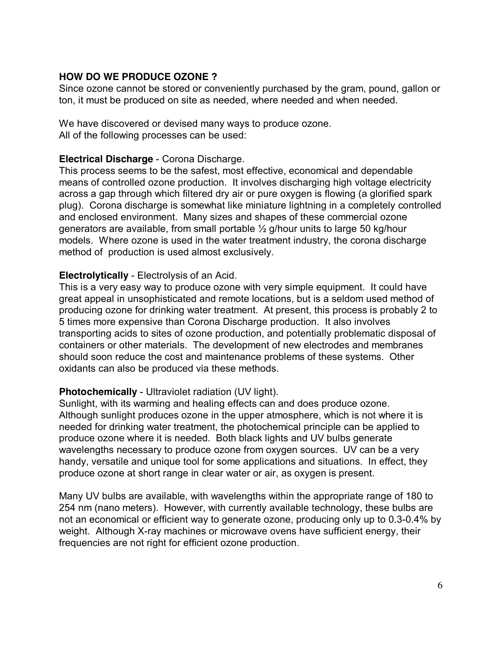### **HOW DO WE PRODUCE OZONE ?**

Since ozone cannot be stored or conveniently purchased by the gram, pound, gallon or ton, it must be produced on site as needed, where needed and when needed.

We have discovered or devised many ways to produce ozone. All of the following processes can be used:

#### **Electrical Discharge** - Corona Discharge.

This process seems to be the safest, most effective, economical and dependable means of controlled ozone production. It involves discharging high voltage electricity across a gap through which filtered dry air or pure oxygen is flowing (a glorified spark plug). Corona discharge is somewhat like miniature lightning in a completely controlled and enclosed environment. Many sizes and shapes of these commercial ozone generators are available, from small portable ½ g/hour units to large 50 kg/hour models. Where ozone is used in the water treatment industry, the corona discharge method of production is used almost exclusively.

### **Electrolytically** - Electrolysis of an Acid.

This is a very easy way to produce ozone with very simple equipment. It could have great appeal in unsophisticated and remote locations, but is a seldom used method of producing ozone for drinking water treatment. At present, this process is probably 2 to 5 times more expensive than Corona Discharge production. It also involves transporting acids to sites of ozone production, and potentially problematic disposal of containers or other materials. The development of new electrodes and membranes should soon reduce the cost and maintenance problems of these systems. Other oxidants can also be produced via these methods.

#### **Photochemically** - Ultraviolet radiation (UV light).

Sunlight, with its warming and healing effects can and does produce ozone. Although sunlight produces ozone in the upper atmosphere, which is not where it is needed for drinking water treatment, the photochemical principle can be applied to produce ozone where it is needed. Both black lights and UV bulbs generate wavelengths necessary to produce ozone from oxygen sources. UV can be a very handy, versatile and unique tool for some applications and situations. In effect, they produce ozone at short range in clear water or air, as oxygen is present.

Many UV bulbs are available, with wavelengths within the appropriate range of 180 to 254 nm (nano meters). However, with currently available technology, these bulbs are not an economical or efficient way to generate ozone, producing only up to 0.3-0.4% by weight. Although X-ray machines or microwave ovens have sufficient energy, their frequencies are not right for efficient ozone production.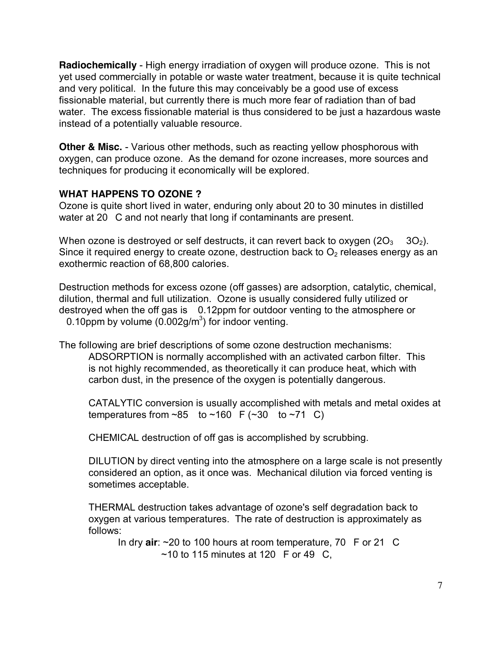**Radiochemically** - High energy irradiation of oxygen will produce ozone. This is not yet used commercially in potable or waste water treatment, because it is quite technical and very political. In the future this may conceivably be a good use of excess fissionable material, but currently there is much more fear of radiation than of bad water. The excess fissionable material is thus considered to be just a hazardous waste instead of a potentially valuable resource.

**Other & Misc.** - Various other methods, such as reacting yellow phosphorous with oxygen, can produce ozone. As the demand for ozone increases, more sources and techniques for producing it economically will be explored.

### **WHAT HAPPENS TO OZONE ?**

Ozone is quite short lived in water, enduring only about 20 to 30 minutes in distilled water at 20 C and not nearly that long if contaminants are present.

When ozone is destroyed or self destructs, it can revert back to oxygen  $(2O_3 \t 3O_2)$ . Since it required energy to create ozone, destruction back to  $O<sub>2</sub>$  releases energy as an exothermic reaction of 68,800 calories.

Destruction methods for excess ozone (off gasses) are adsorption, catalytic, chemical, dilution, thermal and full utilization. Ozone is usually considered fully utilized or destroyed when the off gas is 0.12ppm for outdoor venting to the atmosphere or 0.10 ppm by volume  $(0.002g/m^3)$  for indoor venting.

The following are brief descriptions of some ozone destruction mechanisms: ADSORPTION is normally accomplished with an activated carbon filter. This is not highly recommended, as theoretically it can produce heat, which with carbon dust, in the presence of the oxygen is potentially dangerous.

CATALYTIC conversion is usually accomplished with metals and metal oxides at temperatures from  $\sim$ 85 to  $\sim$ 160 F ( $\sim$ 30 to  $\sim$ 71 C)

CHEMICAL destruction of off gas is accomplished by scrubbing.

DILUTION by direct venting into the atmosphere on a large scale is not presently considered an option, as it once was. Mechanical dilution via forced venting is sometimes acceptable.

THERMAL destruction takes advantage of ozone's self degradation back to oxygen at various temperatures. The rate of destruction is approximately as follows:

In dry **air**: ~20 to 100 hours at room temperature, 70 F or 21 C  $\sim$ 10 to 115 minutes at 120 F or 49 C,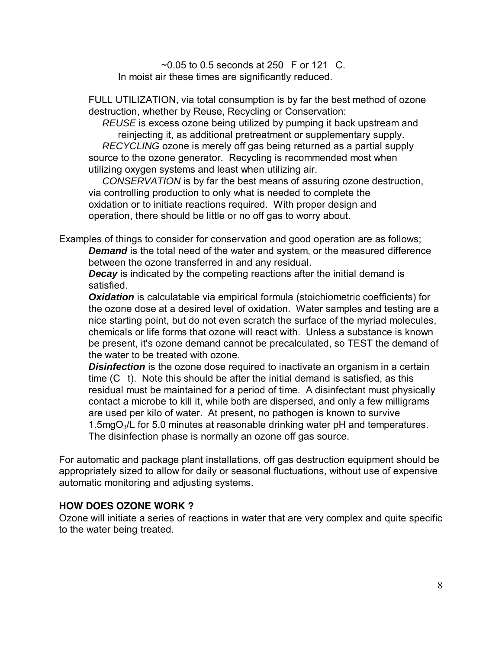$\sim$  0.05 to 0.5 seconds at 250 F or 121 C. In moist air these times are significantly reduced.

FULL UTILIZATION, via total consumption is by far the best method of ozone destruction, whether by Reuse, Recycling or Conservation:

REUSE is excess ozone being utilized by pumping it back upstream and reinjecting it, as additional pretreatment or supplementary supply. RECYCLING ozone is merely off gas being returned as a partial supply source to the ozone generator. Recycling is recommended most when utilizing oxygen systems and least when utilizing air.

CONSERVATION is by far the best means of assuring ozone destruction, via controlling production to only what is needed to complete the oxidation or to initiate reactions required. With proper design and operation, there should be little or no off gas to worry about.

Examples of things to consider for conservation and good operation are as follows; **Demand** is the total need of the water and system, or the measured difference between the ozone transferred in and any residual.

**Decay** is indicated by the competing reactions after the initial demand is satisfied.

**Oxidation** is calculatable via empirical formula (stoichiometric coefficients) for the ozone dose at a desired level of oxidation. Water samples and testing are a nice starting point, but do not even scratch the surface of the myriad molecules, chemicals or life forms that ozone will react with. Unless a substance is known be present, it's ozone demand cannot be precalculated, so TEST the demand of the water to be treated with ozone.

**Disinfection** is the ozone dose required to inactivate an organism in a certain time (C t). Note this should be after the initial demand is satisfied, as this residual must be maintained for a period of time. A disinfectant must physically contact a microbe to kill it, while both are dispersed, and only a few milligrams are used per kilo of water. At present, no pathogen is known to survive 1.5mg $O<sub>3</sub>/L$  for 5.0 minutes at reasonable drinking water pH and temperatures. The disinfection phase is normally an ozone off gas source.

For automatic and package plant installations, off gas destruction equipment should be appropriately sized to allow for daily or seasonal fluctuations, without use of expensive automatic monitoring and adjusting systems.

#### **HOW DOES OZONE WORK ?**

Ozone will initiate a series of reactions in water that are very complex and quite specific to the water being treated.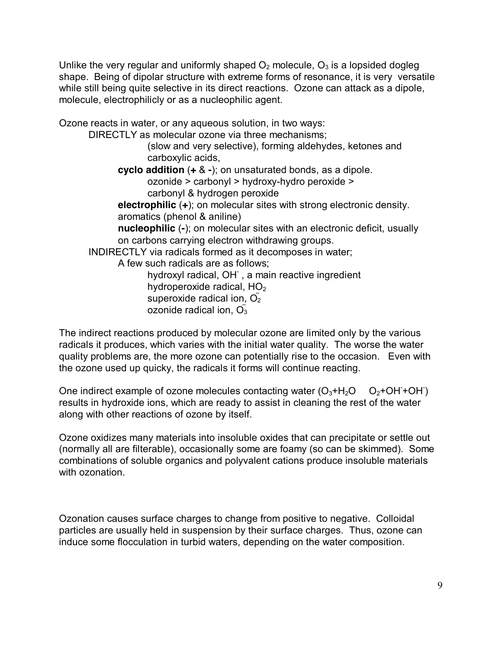Unlike the very regular and uniformly shaped  $O_2$  molecule,  $O_3$  is a lopsided dogleg shape. Being of dipolar structure with extreme forms of resonance, it is very versatile while still being quite selective in its direct reactions. Ozone can attack as a dipole, molecule, electrophilicly or as a nucleophilic agent.

Ozone reacts in water, or any aqueous solution, in two ways: DIRECTLY as molecular ozone via three mechanisms; (slow and very selective), forming aldehydes, ketones and carboxylic acids, **cyclo addition** (**+** & **-**); on unsaturated bonds, as a dipole. ozonide > carbonyl > hydroxy-hydro peroxide > carbonyl & hydrogen peroxide **electrophilic** (**+**); on molecular sites with strong electronic density. aromatics (phenol & aniline) **nucleophilic** (**-**); on molecular sites with an electronic deficit, usually on carbons carrying electron withdrawing groups. INDIRECTLY via radicals formed as it decomposes in water; A few such radicals are as follows; hydroxyl radical, OH<sup>-</sup>, a main reactive ingredient hydroperoxide radical,  $HO<sub>2</sub>$ superoxide radical ion,  $\tilde{O_2}$ ozonide radical ion,  $\widetilde{O_3}$ 

The indirect reactions produced by molecular ozone are limited only by the various radicals it produces, which varies with the initial water quality. The worse the water quality problems are, the more ozone can potentially rise to the occasion. Even with the ozone used up quicky, the radicals it forms will continue reacting.

One indirect example of ozone molecules contacting water  $(O_3 + H_2O - O_2 + OH + OH)$ results in hydroxide ions, which are ready to assist in cleaning the rest of the water along with other reactions of ozone by itself.

Ozone oxidizes many materials into insoluble oxides that can precipitate or settle out (normally all are filterable), occasionally some are foamy (so can be skimmed). Some combinations of soluble organics and polyvalent cations produce insoluble materials with ozonation.

Ozonation causes surface charges to change from positive to negative. Colloidal particles are usually held in suspension by their surface charges. Thus, ozone can induce some flocculation in turbid waters, depending on the water composition.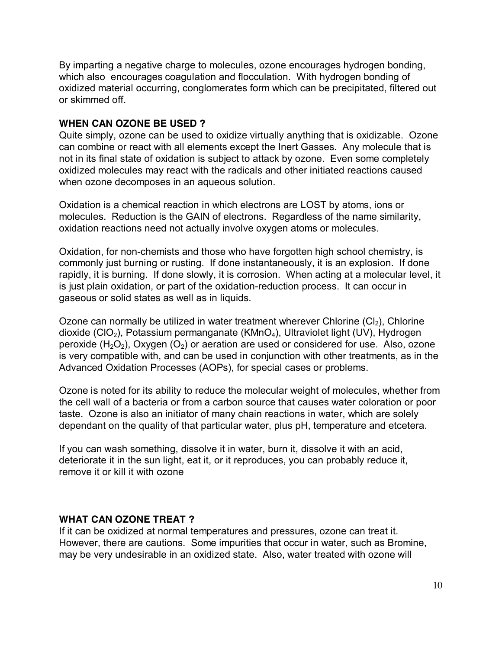By imparting a negative charge to molecules, ozone encourages hydrogen bonding, which also encourages coagulation and flocculation. With hydrogen bonding of oxidized material occurring, conglomerates form which can be precipitated, filtered out or skimmed off.

### **WHEN CAN OZONE BE USED ?**

Quite simply, ozone can be used to oxidize virtually anything that is oxidizable. Ozone can combine or react with all elements except the Inert Gasses. Any molecule that is not in its final state of oxidation is subject to attack by ozone. Even some completely oxidized molecules may react with the radicals and other initiated reactions caused when ozone decomposes in an aqueous solution.

Oxidation is a chemical reaction in which electrons are LOST by atoms, ions or molecules. Reduction is the GAIN of electrons. Regardless of the name similarity, oxidation reactions need not actually involve oxygen atoms or molecules.

Oxidation, for non-chemists and those who have forgotten high school chemistry, is commonly just burning or rusting. If done instantaneously, it is an explosion. If done rapidly, it is burning. If done slowly, it is corrosion. When acting at a molecular level, it is just plain oxidation, or part of the oxidation-reduction process. It can occur in gaseous or solid states as well as in liquids.

Ozone can normally be utilized in water treatment wherever Chlorine  $(C_2)$ , Chlorine dioxide (ClO<sub>2</sub>), Potassium permanganate (KMnO<sub>4</sub>), Ultraviolet light (UV), Hydrogen peroxide  $(H_2O_2)$ , Oxygen  $(O_2)$  or aeration are used or considered for use. Also, ozone is very compatible with, and can be used in conjunction with other treatments, as in the Advanced Oxidation Processes (AOPs), for special cases or problems.

Ozone is noted for its ability to reduce the molecular weight of molecules, whether from the cell wall of a bacteria or from a carbon source that causes water coloration or poor taste. Ozone is also an initiator of many chain reactions in water, which are solely dependant on the quality of that particular water, plus pH, temperature and etcetera.

If you can wash something, dissolve it in water, burn it, dissolve it with an acid, deteriorate it in the sun light, eat it, or it reproduces, you can probably reduce it, remove it or kill it with ozone

# **WHAT CAN OZONE TREAT ?**

If it can be oxidized at normal temperatures and pressures, ozone can treat it. However, there are cautions. Some impurities that occur in water, such as Bromine, may be very undesirable in an oxidized state. Also, water treated with ozone will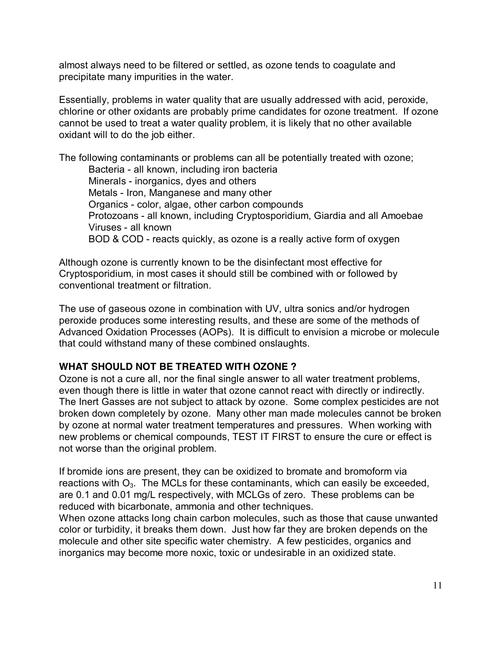almost always need to be filtered or settled, as ozone tends to coagulate and precipitate many impurities in the water.

Essentially, problems in water quality that are usually addressed with acid, peroxide, chlorine or other oxidants are probably prime candidates for ozone treatment. If ozone cannot be used to treat a water quality problem, it is likely that no other available oxidant will to do the job either.

The following contaminants or problems can all be potentially treated with ozone; Bacteria - all known, including iron bacteria Minerals - inorganics, dyes and others Metals - Iron, Manganese and many other Organics - color, algae, other carbon compounds Protozoans - all known, including Cryptosporidium, Giardia and all Amoebae Viruses - all known BOD & COD - reacts quickly, as ozone is a really active form of oxygen

Although ozone is currently known to be the disinfectant most effective for Cryptosporidium, in most cases it should still be combined with or followed by conventional treatment or filtration.

The use of gaseous ozone in combination with UV, ultra sonics and/or hydrogen peroxide produces some interesting results, and these are some of the methods of Advanced Oxidation Processes (AOPs). It is difficult to envision a microbe or molecule that could withstand many of these combined onslaughts.

# **WHAT SHOULD NOT BE TREATED WITH OZONE ?**

Ozone is not a cure all, nor the final single answer to all water treatment problems, even though there is little in water that ozone cannot react with directly or indirectly. The Inert Gasses are not subject to attack by ozone. Some complex pesticides are not broken down completely by ozone. Many other man made molecules cannot be broken by ozone at normal water treatment temperatures and pressures. When working with new problems or chemical compounds, TEST IT FIRST to ensure the cure or effect is not worse than the original problem.

If bromide ions are present, they can be oxidized to bromate and bromoform via reactions with  $O_3$ . The MCLs for these contaminants, which can easily be exceeded, are 0.1 and 0.01 mg/L respectively, with MCLGs of zero. These problems can be reduced with bicarbonate, ammonia and other techniques.

When ozone attacks long chain carbon molecules, such as those that cause unwanted color or turbidity, it breaks them down. Just how far they are broken depends on the molecule and other site specific water chemistry. A few pesticides, organics and inorganics may become more noxic, toxic or undesirable in an oxidized state.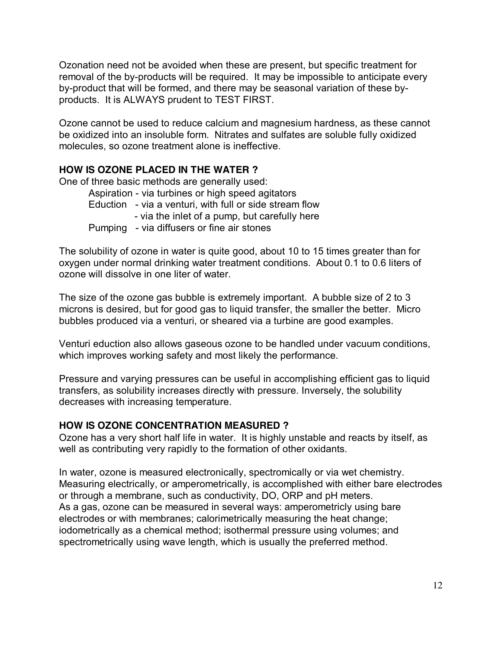Ozonation need not be avoided when these are present, but specific treatment for removal of the by-products will be required. It may be impossible to anticipate every by-product that will be formed, and there may be seasonal variation of these byproducts. It is ALWAYS prudent to TEST FIRST.

Ozone cannot be used to reduce calcium and magnesium hardness, as these cannot be oxidized into an insoluble form. Nitrates and sulfates are soluble fully oxidized molecules, so ozone treatment alone is ineffective.

# **HOW IS OZONE PLACED IN THE WATER ?**

One of three basic methods are generally used:

Aspiration - via turbines or high speed agitators Eduction - via a venturi, with full or side stream flow - via the inlet of a pump, but carefully here Pumping - via diffusers or fine air stones

The solubility of ozone in water is quite good, about 10 to 15 times greater than for oxygen under normal drinking water treatment conditions. About 0.1 to 0.6 liters of ozone will dissolve in one liter of water.

The size of the ozone gas bubble is extremely important. A bubble size of 2 to 3 microns is desired, but for good gas to liquid transfer, the smaller the better. Micro bubbles produced via a venturi, or sheared via a turbine are good examples.

Venturi eduction also allows gaseous ozone to be handled under vacuum conditions, which improves working safety and most likely the performance.

Pressure and varying pressures can be useful in accomplishing efficient gas to liquid transfers, as solubility increases directly with pressure. Inversely, the solubility decreases with increasing temperature.

# **HOW IS OZONE CONCENTRATION MEASURED ?**

Ozone has a very short half life in water. It is highly unstable and reacts by itself, as well as contributing very rapidly to the formation of other oxidants.

In water, ozone is measured electronically, spectromically or via wet chemistry. Measuring electrically, or amperometrically, is accomplished with either bare electrodes or through a membrane, such as conductivity, DO, ORP and pH meters. As a gas, ozone can be measured in several ways: amperometricly using bare electrodes or with membranes; calorimetrically measuring the heat change; iodometrically as a chemical method; isothermal pressure using volumes; and spectrometrically using wave length, which is usually the preferred method.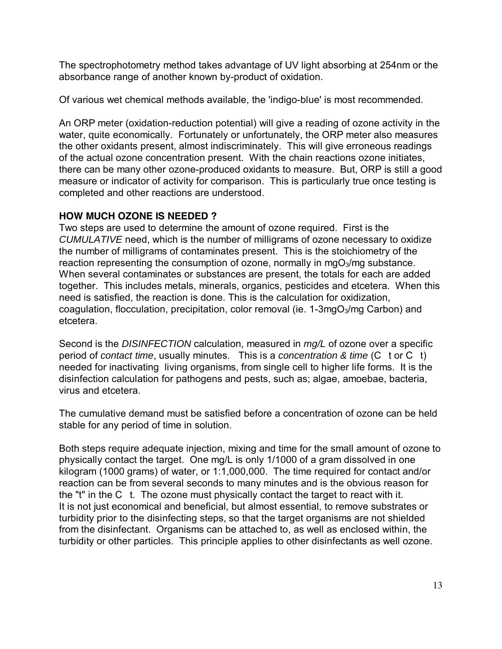The spectrophotometry method takes advantage of UV light absorbing at 254nm or the absorbance range of another known by-product of oxidation.

Of various wet chemical methods available, the 'indigo-blue' is most recommended.

An ORP meter (oxidation-reduction potential) will give a reading of ozone activity in the water, quite economically. Fortunately or unfortunately, the ORP meter also measures the other oxidants present, almost indiscriminately. This will give erroneous readings of the actual ozone concentration present. With the chain reactions ozone initiates, there can be many other ozone-produced oxidants to measure. But, ORP is still a good measure or indicator of activity for comparison. This is particularly true once testing is completed and other reactions are understood.

# **HOW MUCH OZONE IS NEEDED ?**

Two steps are used to determine the amount of ozone required. First is the CUMULATIVE need, which is the number of milligrams of ozone necessary to oxidize the number of milligrams of contaminates present. This is the stoichiometry of the reaction representing the consumption of ozone, normally in  $mgO<sub>3</sub>/mg$  substance. When several contaminates or substances are present, the totals for each are added together. This includes metals, minerals, organics, pesticides and etcetera. When this need is satisfied, the reaction is done. This is the calculation for oxidization, coagulation, flocculation, precipitation, color removal (ie.  $1\text{-}3\text{mgO}_3/\text{mg}$  Carbon) and etcetera.

Second is the DISINFECTION calculation, measured in  $mq/L$  of ozone over a specific period of contact time, usually minutes. This is a concentration & time (C t or C t) needed for inactivating living organisms, from single cell to higher life forms. It is the disinfection calculation for pathogens and pests, such as; algae, amoebae, bacteria, virus and etcetera.

The cumulative demand must be satisfied before a concentration of ozone can be held stable for any period of time in solution.

Both steps require adequate injection, mixing and time for the small amount of ozone to physically contact the target. One mg/L is only 1/1000 of a gram dissolved in one kilogram (1000 grams) of water, or 1:1,000,000. The time required for contact and/or reaction can be from several seconds to many minutes and is the obvious reason for the "t" in the C t. The ozone must physically contact the target to react with it. It is not just economical and beneficial, but almost essential, to remove substrates or turbidity prior to the disinfecting steps, so that the target organisms are not shielded from the disinfectant. Organisms can be attached to, as well as enclosed within, the turbidity or other particles. This principle applies to other disinfectants as well ozone.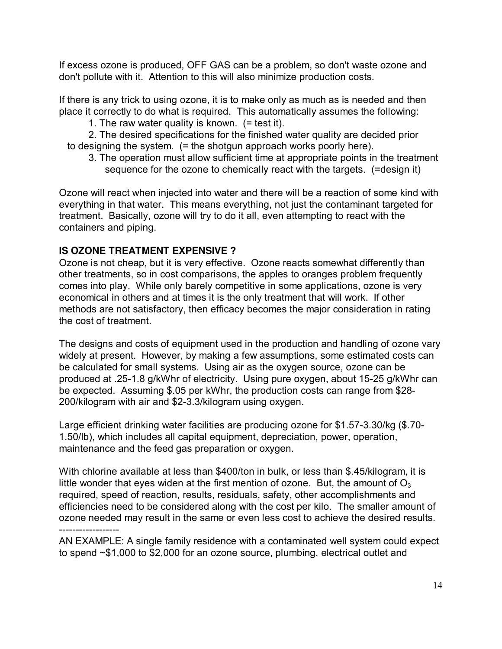If excess ozone is produced, OFF GAS can be a problem, so don't waste ozone and don't pollute with it. Attention to this will also minimize production costs.

If there is any trick to using ozone, it is to make only as much as is needed and then place it correctly to do what is required. This automatically assumes the following:

1. The raw water quality is known.  $(= test it)$ .

2. The desired specifications for the finished water quality are decided prior to designing the system. (= the shotgun approach works poorly here).

3. The operation must allow sufficient time at appropriate points in the treatment sequence for the ozone to chemically react with the targets. (=design it)

Ozone will react when injected into water and there will be a reaction of some kind with everything in that water. This means everything, not just the contaminant targeted for treatment. Basically, ozone will try to do it all, even attempting to react with the containers and piping.

# **IS OZONE TREATMENT EXPENSIVE ?**

Ozone is not cheap, but it is very effective. Ozone reacts somewhat differently than other treatments, so in cost comparisons, the apples to oranges problem frequently comes into play. While only barely competitive in some applications, ozone is very economical in others and at times it is the only treatment that will work. If other methods are not satisfactory, then efficacy becomes the major consideration in rating the cost of treatment.

The designs and costs of equipment used in the production and handling of ozone vary widely at present. However, by making a few assumptions, some estimated costs can be calculated for small systems. Using air as the oxygen source, ozone can be produced at .25-1.8 g/kWhr of electricity. Using pure oxygen, about 15-25 g/kWhr can be expected. Assuming \$.05 per kWhr, the production costs can range from \$28- 200/kilogram with air and \$2-3.3/kilogram using oxygen.

Large efficient drinking water facilities are producing ozone for \$1.57-3.30/kg (\$.70- 1.50/lb), which includes all capital equipment, depreciation, power, operation, maintenance and the feed gas preparation or oxygen.

With chlorine available at less than \$400/ton in bulk, or less than \$.45/kilogram, it is little wonder that eyes widen at the first mention of ozone. But, the amount of  $O_3$ required, speed of reaction, results, residuals, safety, other accomplishments and efficiencies need to be considered along with the cost per kilo. The smaller amount of ozone needed may result in the same or even less cost to achieve the desired results. ------------------

AN EXAMPLE: A single family residence with a contaminated well system could expect to spend ~\$1,000 to \$2,000 for an ozone source, plumbing, electrical outlet and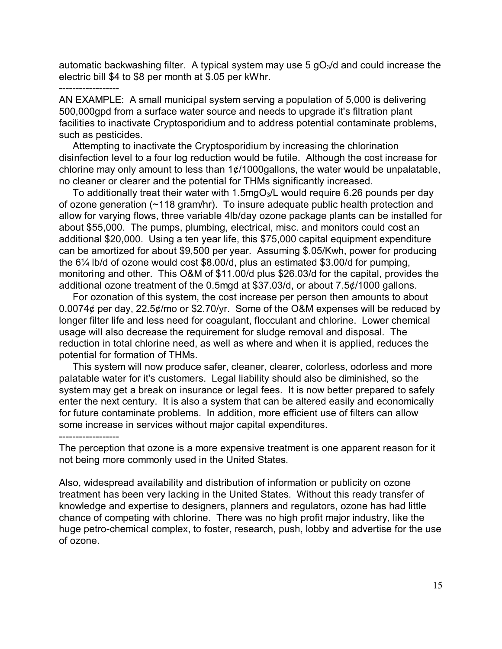automatic backwashing filter. A typical system may use 5  $qO<sub>3</sub>/d$  and could increase the electric bill \$4 to \$8 per month at \$.05 per kWhr.

#### ------------------

AN EXAMPLE: A small municipal system serving a population of 5,000 is delivering 500,000gpd from a surface water source and needs to upgrade it's filtration plant facilities to inactivate Cryptosporidium and to address potential contaminate problems, such as pesticides.

Attempting to inactivate the Cryptosporidium by increasing the chlorination disinfection level to a four log reduction would be futile. Although the cost increase for chlorine may only amount to less than  $1¢/1000$  gallons, the water would be unpalatable, no cleaner or clearer and the potential for THMs significantly increased.

To additionally treat their water with 1.5mgO<sub>3</sub>/L would require 6.26 pounds per day of ozone generation (~118 gram/hr). To insure adequate public health protection and allow for varying flows, three variable 4lb/day ozone package plants can be installed for about \$55,000. The pumps, plumbing, electrical, misc. and monitors could cost an additional \$20,000. Using a ten year life, this \$75,000 capital equipment expenditure can be amortized for about \$9,500 per year. Assuming \$.05/Kwh, power for producing the 6¼ lb/d of ozone would cost \$8.00/d, plus an estimated \$3.00/d for pumping, monitoring and other. This O&M of \$11.00/d plus \$26.03/d for the capital, provides the additional ozone treatment of the 0.5mgd at \$37.03/d, or about 7.5¢/1000 gallons.

For ozonation of this system, the cost increase per person then amounts to about 0.0074¢ per day, 22.5¢/mo or \$2.70/yr. Some of the O&M expenses will be reduced by longer filter life and less need for coagulant, flocculant and chlorine. Lower chemical usage will also decrease the requirement for sludge removal and disposal. The reduction in total chlorine need, as well as where and when it is applied, reduces the potential for formation of THMs.

This system will now produce safer, cleaner, clearer, colorless, odorless and more palatable water for it's customers. Legal liability should also be diminished, so the system may get a break on insurance or legal fees. It is now better prepared to safely enter the next century. It is also a system that can be altered easily and economically for future contaminate problems. In addition, more efficient use of filters can allow some increase in services without major capital expenditures.

------------------

The perception that ozone is a more expensive treatment is one apparent reason for it not being more commonly used in the United States.

Also, widespread availability and distribution of information or publicity on ozone treatment has been very lacking in the United States. Without this ready transfer of knowledge and expertise to designers, planners and regulators, ozone has had little chance of competing with chlorine. There was no high profit major industry, like the huge petro-chemical complex, to foster, research, push, lobby and advertise for the use of ozone.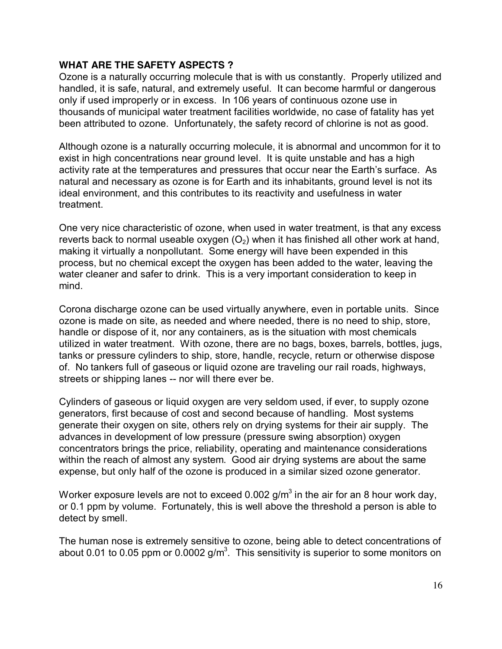#### **WHAT ARE THE SAFETY ASPECTS ?**

Ozone is a naturally occurring molecule that is with us constantly. Properly utilized and handled, it is safe, natural, and extremely useful. It can become harmful or dangerous only if used improperly or in excess. In 106 years of continuous ozone use in thousands of municipal water treatment facilities worldwide, no case of fatality has yet been attributed to ozone. Unfortunately, the safety record of chlorine is not as good.

Although ozone is a naturally occurring molecule, it is abnormal and uncommon for it to exist in high concentrations near ground level. It is quite unstable and has a high activity rate at the temperatures and pressures that occur near the Earth's surface. As natural and necessary as ozone is for Earth and its inhabitants, ground level is not its ideal environment, and this contributes to its reactivity and usefulness in water treatment.

One very nice characteristic of ozone, when used in water treatment, is that any excess reverts back to normal useable oxygen  $(O_2)$  when it has finished all other work at hand, making it virtually a nonpollutant. Some energy will have been expended in this process, but no chemical except the oxygen has been added to the water, leaving the water cleaner and safer to drink. This is a very important consideration to keep in mind.

Corona discharge ozone can be used virtually anywhere, even in portable units. Since ozone is made on site, as needed and where needed, there is no need to ship, store, handle or dispose of it, nor any containers, as is the situation with most chemicals utilized in water treatment. With ozone, there are no bags, boxes, barrels, bottles, jugs, tanks or pressure cylinders to ship, store, handle, recycle, return or otherwise dispose of. No tankers full of gaseous or liquid ozone are traveling our rail roads, highways, streets or shipping lanes -- nor will there ever be.

Cylinders of gaseous or liquid oxygen are very seldom used, if ever, to supply ozone generators, first because of cost and second because of handling. Most systems generate their oxygen on site, others rely on drying systems for their air supply. The advances in development of low pressure (pressure swing absorption) oxygen concentrators brings the price, reliability, operating and maintenance considerations within the reach of almost any system. Good air drying systems are about the same expense, but only half of the ozone is produced in a similar sized ozone generator.

Worker exposure levels are not to exceed 0.002  $g/m<sup>3</sup>$  in the air for an 8 hour work day, or 0.1 ppm by volume. Fortunately, this is well above the threshold a person is able to detect by smell.

The human nose is extremely sensitive to ozone, being able to detect concentrations of about 0.01 to 0.05 ppm or 0.0002  $g/m<sup>3</sup>$ . This sensitivity is superior to some monitors on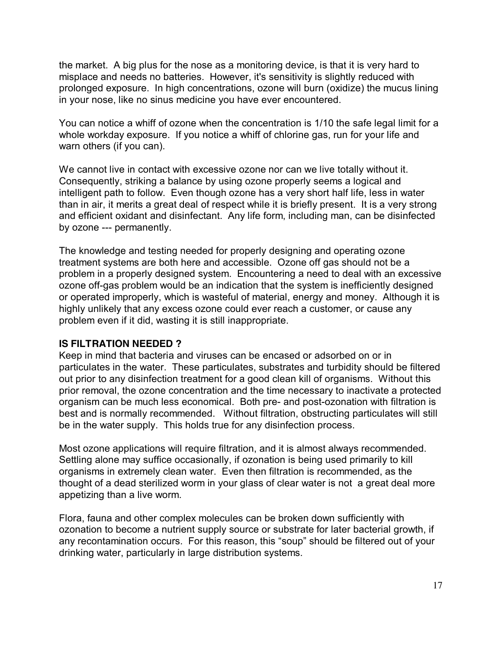the market. A big plus for the nose as a monitoring device, is that it is very hard to misplace and needs no batteries. However, it's sensitivity is slightly reduced with prolonged exposure. In high concentrations, ozone will burn (oxidize) the mucus lining in your nose, like no sinus medicine you have ever encountered.

You can notice a whiff of ozone when the concentration is 1/10 the safe legal limit for a whole workday exposure. If you notice a whiff of chlorine gas, run for your life and warn others (if you can).

We cannot live in contact with excessive ozone nor can we live totally without it. Consequently, striking a balance by using ozone properly seems a logical and intelligent path to follow. Even though ozone has a very short half life, less in water than in air, it merits a great deal of respect while it is briefly present. It is a very strong and efficient oxidant and disinfectant. Any life form, including man, can be disinfected by ozone --- permanently.

The knowledge and testing needed for properly designing and operating ozone treatment systems are both here and accessible. Ozone off gas should not be a problem in a properly designed system. Encountering a need to deal with an excessive ozone off-gas problem would be an indication that the system is inefficiently designed or operated improperly, which is wasteful of material, energy and money. Although it is highly unlikely that any excess ozone could ever reach a customer, or cause any problem even if it did, wasting it is still inappropriate.

#### **IS FILTRATION NEEDED ?**

Keep in mind that bacteria and viruses can be encased or adsorbed on or in particulates in the water. These particulates, substrates and turbidity should be filtered out prior to any disinfection treatment for a good clean kill of organisms. Without this prior removal, the ozone concentration and the time necessary to inactivate a protected organism can be much less economical. Both pre- and post-ozonation with filtration is best and is normally recommended. Without filtration, obstructing particulates will still be in the water supply. This holds true for any disinfection process.

Most ozone applications will require filtration, and it is almost always recommended. Settling alone may suffice occasionally, if ozonation is being used primarily to kill organisms in extremely clean water. Even then filtration is recommended, as the thought of a dead sterilized worm in your glass of clear water is not a great deal more appetizing than a live worm.

Flora, fauna and other complex molecules can be broken down sufficiently with ozonation to become a nutrient supply source or substrate for later bacterial growth, if any recontamination occurs. For this reason, this "soup" should be filtered out of your drinking water, particularly in large distribution systems.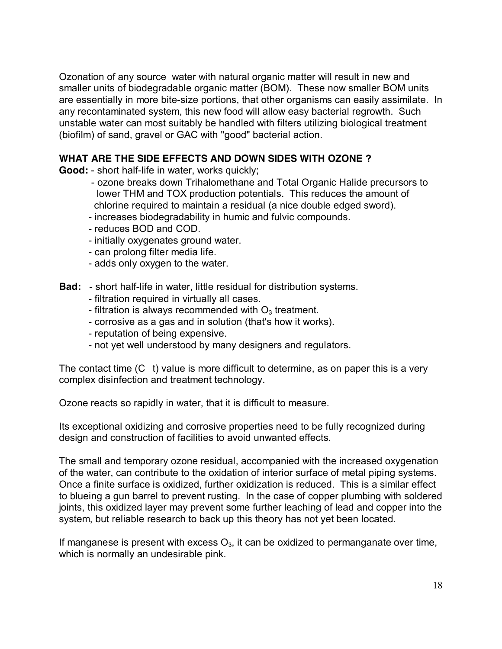Ozonation of any source water with natural organic matter will result in new and smaller units of biodegradable organic matter (BOM). These now smaller BOM units are essentially in more bite-size portions, that other organisms can easily assimilate. In any recontaminated system, this new food will allow easy bacterial regrowth. Such unstable water can most suitably be handled with filters utilizing biological treatment (biofilm) of sand, gravel or GAC with "good" bacterial action.

# **WHAT ARE THE SIDE EFFECTS AND DOWN SIDES WITH OZONE ?**

**Good:** - short half-life in water, works quickly;

- ozone breaks down Trihalomethane and Total Organic Halide precursors to lower THM and TOX production potentials. This reduces the amount of chlorine required to maintain a residual (a nice double edged sword).
- increases biodegradability in humic and fulvic compounds.
- reduces BOD and COD.
- initially oxygenates ground water.
- can prolong filter media life.
- adds only oxygen to the water.
- **Bad:** short half-life in water, little residual for distribution systems.
	- filtration required in virtually all cases.
	- filtration is always recommended with  $O_3$  treatment.
	- corrosive as a gas and in solution (that's how it works).
	- reputation of being expensive.
	- not yet well understood by many designers and regulators.

The contact time (C t) value is more difficult to determine, as on paper this is a very complex disinfection and treatment technology.

Ozone reacts so rapidly in water, that it is difficult to measure.

Its exceptional oxidizing and corrosive properties need to be fully recognized during design and construction of facilities to avoid unwanted effects.

The small and temporary ozone residual, accompanied with the increased oxygenation of the water, can contribute to the oxidation of interior surface of metal piping systems. Once a finite surface is oxidized, further oxidization is reduced. This is a similar effect to blueing a gun barrel to prevent rusting. In the case of copper plumbing with soldered joints, this oxidized layer may prevent some further leaching of lead and copper into the system, but reliable research to back up this theory has not yet been located.

If manganese is present with excess  $O_3$ , it can be oxidized to permanganate over time, which is normally an undesirable pink.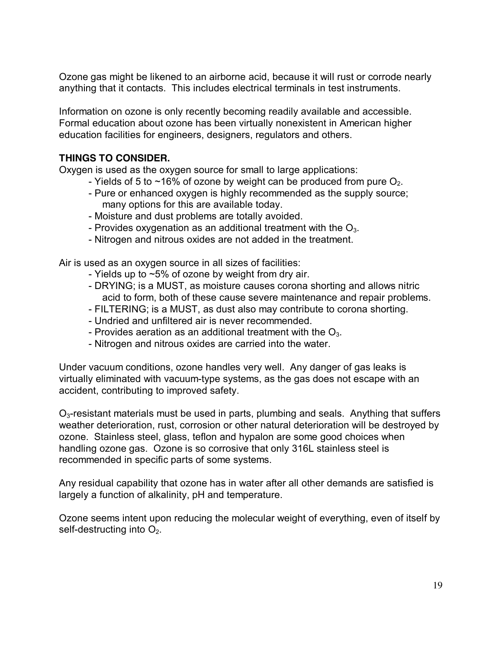Ozone gas might be likened to an airborne acid, because it will rust or corrode nearly anything that it contacts. This includes electrical terminals in test instruments.

Information on ozone is only recently becoming readily available and accessible. Formal education about ozone has been virtually nonexistent in American higher education facilities for engineers, designers, regulators and others.

# **THINGS TO CONSIDER.**

Oxygen is used as the oxygen source for small to large applications:

- Yields of 5 to  $\sim$ 16% of ozone by weight can be produced from pure  $O_2$ .
- Pure or enhanced oxygen is highly recommended as the supply source; many options for this are available today.
- Moisture and dust problems are totally avoided.
- Provides oxygenation as an additional treatment with the  $O<sub>3</sub>$ .
- Nitrogen and nitrous oxides are not added in the treatment.

Air is used as an oxygen source in all sizes of facilities:

- Yields up to  $\sim$ 5% of ozone by weight from dry air.
- DRYING; is a MUST, as moisture causes corona shorting and allows nitric acid to form, both of these cause severe maintenance and repair problems.
- FILTERING; is a MUST, as dust also may contribute to corona shorting.
- Undried and unfiltered air is never recommended.
- Provides aeration as an additional treatment with the  $O<sub>3</sub>$ .
- Nitrogen and nitrous oxides are carried into the water.

Under vacuum conditions, ozone handles very well. Any danger of gas leaks is virtually eliminated with vacuum-type systems, as the gas does not escape with an accident, contributing to improved safety.

 $O<sub>3</sub>$ -resistant materials must be used in parts, plumbing and seals. Anything that suffers weather deterioration, rust, corrosion or other natural deterioration will be destroyed by ozone. Stainless steel, glass, teflon and hypalon are some good choices when handling ozone gas. Ozone is so corrosive that only 316L stainless steel is recommended in specific parts of some systems.

Any residual capability that ozone has in water after all other demands are satisfied is largely a function of alkalinity, pH and temperature.

Ozone seems intent upon reducing the molecular weight of everything, even of itself by self-destructing into  $O<sub>2</sub>$ .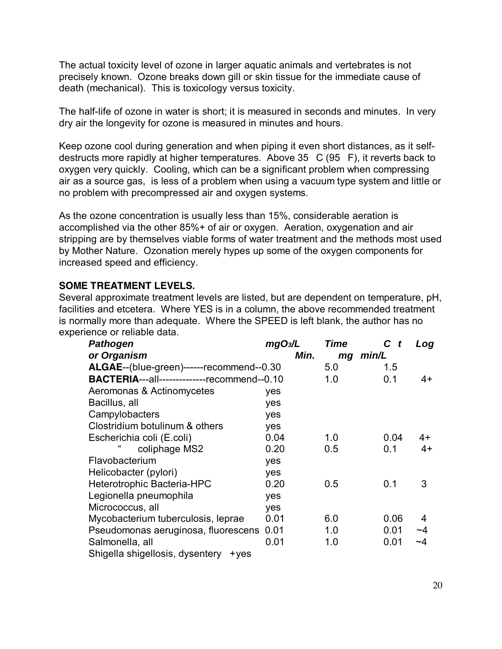The actual toxicity level of ozone in larger aquatic animals and vertebrates is not precisely known. Ozone breaks down gill or skin tissue for the immediate cause of death (mechanical). This is toxicology versus toxicity.

The half-life of ozone in water is short; it is measured in seconds and minutes. In very dry air the longevity for ozone is measured in minutes and hours.

Keep ozone cool during generation and when piping it even short distances, as it selfdestructs more rapidly at higher temperatures. Above 35 C (95 F), it reverts back to oxygen very quickly. Cooling, which can be a significant problem when compressing air as a source gas, is less of a problem when using a vacuum type system and little or no problem with precompressed air and oxygen systems.

As the ozone concentration is usually less than 15%, considerable aeration is accomplished via the other 85%+ of air or oxygen. Aeration, oxygenation and air stripping are by themselves viable forms of water treatment and the methods most used by Mother Nature. Ozonation merely hypes up some of the oxygen components for increased speed and efficiency.

### **SOME TREATMENT LEVELS.**

Several approximate treatment levels are listed, but are dependent on temperature, pH, facilities and etcetera. Where YES is in a column, the above recommended treatment is normally more than adequate. Where the SPEED is left blank, the author has no experience or reliable data.

| <b>Pathogen</b>                                    | mgO <sub>3</sub> /L | <b>Time</b> | C<br>t | Log  |
|----------------------------------------------------|---------------------|-------------|--------|------|
| or Organism                                        | Min.                | min/L<br>mg |        |      |
| ALGAE--(blue-green)------recommend--0.30           |                     | 5.0         | 1.5    |      |
| <b>BACTERIA---all--------------recommend--0.10</b> |                     | 1.0         | 0.1    | 4+   |
| Aeromonas & Actinomycetes                          | yes                 |             |        |      |
| Bacillus, all                                      | yes                 |             |        |      |
| Campylobacters                                     | yes                 |             |        |      |
| Clostridium botulinum & others                     | yes                 |             |        |      |
| Escherichia coli (E.coli)                          | 0.04                | 1.0         | 0.04   | 4+   |
| coliphage MS2                                      | 0.20                | 0.5         | 0.1    | $4+$ |
| Flavobacterium                                     | yes                 |             |        |      |
| Helicobacter (pylori)                              | yes                 |             |        |      |
| Heterotrophic Bacteria-HPC                         | 0.20                | 0.5         | 0.1    | 3    |
| Legionella pneumophila                             | yes                 |             |        |      |
| Micrococcus, all                                   | yes                 |             |        |      |
| Mycobacterium tuberculosis, leprae                 | 0.01                | 6.0         | 0.06   | 4    |
| Pseudomonas aeruginosa, fluorescens                | 0.01                | 1.0         | 0.01   | ~4   |
| Salmonella, all                                    | 0.01                | 1.0         | 0.01   | ~4   |
| Shigella shigellosis, dysentery<br>$+yes$          |                     |             |        |      |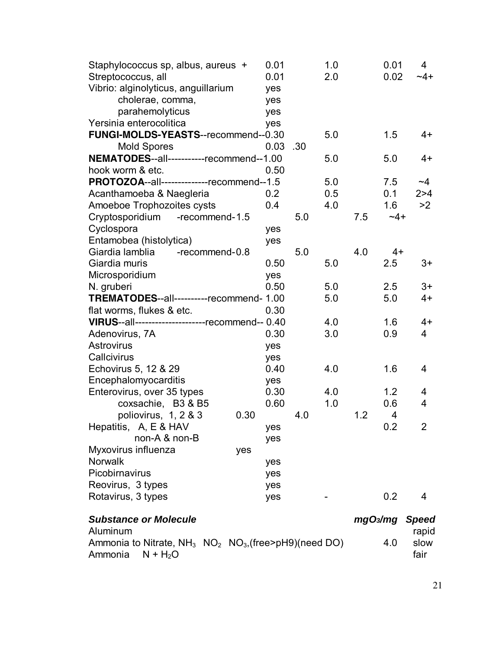| Staphylococcus sp, albus, aureus +<br>Streptococcus, all       | 0.01<br>0.01 |     | 1.0<br>2.0 |     | 0.01<br>0.02         | $\overline{4}$<br>$-4+$ |
|----------------------------------------------------------------|--------------|-----|------------|-----|----------------------|-------------------------|
| Vibrio: alginolyticus, anguillarium                            | yes          |     |            |     |                      |                         |
| cholerae, comma,<br>parahemolyticus                            | yes<br>yes   |     |            |     |                      |                         |
| Yersinia enterocolitica                                        | yes          |     |            |     |                      |                         |
| FUNGI-MOLDS-YEASTS--recommend--0.30                            |              |     | 5.0        |     | 1.5                  | $4+$                    |
| <b>Mold Spores</b>                                             | 0.03         | .30 |            |     |                      |                         |
| NEMATODES--all----------recommend--1.00                        |              |     | 5.0        |     | 5.0                  | $4+$                    |
| hook worm & etc.                                               | 0.50         |     |            |     |                      |                         |
| PROTOZOA--all--------------recommend--1.5                      |              |     | 5.0        |     | 7.5                  | ~1                      |
| Acanthamoeba & Naegleria                                       | 0.2          |     | 0.5        |     | 0.1                  | 2 > 4                   |
| Amoeboe Trophozoites cysts                                     | 0.4          |     | 4.0        |     | 1.6                  | >2                      |
| Cryptosporidium<br>-recommend-1.5                              |              | 5.0 |            | 7.5 | $-4+$                |                         |
| Cyclospora                                                     | yes          |     |            |     |                      |                         |
| Entamobea (histolytica)                                        | yes          |     |            |     |                      |                         |
| Giardia lamblia<br>-recommend-0.8                              |              | 5.0 |            | 4.0 | $4+$                 |                         |
| Giardia muris                                                  | 0.50         |     | 5.0        |     | 2.5                  | 3+                      |
| Microsporidium                                                 | yes          |     |            |     |                      |                         |
| N. gruberi                                                     | 0.50         |     | 5.0        |     | 2.5                  | $3+$                    |
| TREMATODES--all----------recommend- 1.00                       |              |     | 5.0        |     | 5.0                  | $4+$                    |
| flat worms, flukes & etc.                                      | 0.30         |     |            |     |                      |                         |
| VIRUS--all----------------------recommend-- 0.40               |              |     | 4.0        |     | 1.6                  | $4+$                    |
| Adenovirus, 7A                                                 | 0.30         |     | 3.0        |     | 0.9                  | 4                       |
| <b>Astrovirus</b>                                              | yes          |     |            |     |                      |                         |
| Callcivirus                                                    | yes          |     |            |     |                      |                         |
| Echovirus 5, 12 & 29                                           | 0.40         |     | 4.0        |     | 1.6                  | 4                       |
| Encephalomyocarditis                                           | yes          |     |            |     |                      |                         |
| Enterovirus, over 35 types                                     | 0.30         |     | 4.0        |     | 1.2                  | 4                       |
| coxsachie, B3 & B5                                             | 0.60         |     | 1.0        |     | 0.6                  | 4                       |
| poliovirus, 1, 2 & 3<br>0.30                                   |              | 4.0 |            | 1.2 | 4                    |                         |
| Hepatitis, A, E & HAV                                          | yes          |     |            |     | 0.2                  | 2                       |
| non-A & non-B                                                  | yes          |     |            |     |                      |                         |
| Myxovirus influenza<br>yes                                     |              |     |            |     |                      |                         |
| Norwalk                                                        | yes          |     |            |     |                      |                         |
| Picobirnavirus                                                 | yes          |     |            |     |                      |                         |
| Reovirus, 3 types                                              | yes          |     |            |     |                      |                         |
| Rotavirus, 3 types                                             | yes          |     |            |     | 0.2                  | 4                       |
| <b>Substance or Molecule</b><br>Aluminum                       |              |     |            |     | mgO <sub>3</sub> /mg | <b>Speed</b><br>rapid   |
| Ammonia to Nitrate, $NH_3$ $NO_2$ $NO_3$ , (free>pH9)(need DO) |              |     |            |     | 4.0                  | slow                    |

Ammonia  $N + H_2O$  fair

21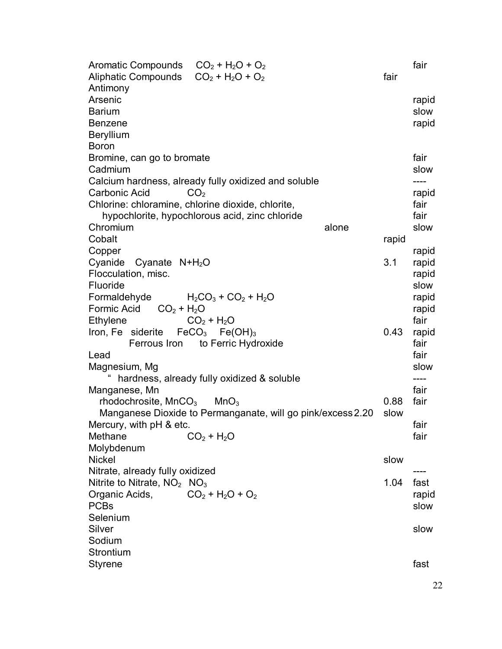| Aromatic Compounds $CO_2 + H_2O + O_2$                      |       | fair  |
|-------------------------------------------------------------|-------|-------|
| Aliphatic Compounds $CO_2 + H_2O + O_2$                     | fair  |       |
| Antimony                                                    |       |       |
| Arsenic                                                     |       | rapid |
| <b>Barium</b>                                               |       | slow  |
| <b>Benzene</b>                                              |       | rapid |
| <b>Beryllium</b>                                            |       |       |
| <b>Boron</b>                                                |       |       |
| Bromine, can go to bromate                                  |       | fair  |
| Cadmium                                                     |       | slow  |
| Calcium hardness, already fully oxidized and soluble        |       | ----  |
| Carbonic Acid<br>CO <sub>2</sub>                            |       | rapid |
| Chlorine: chloramine, chlorine dioxide, chlorite,           |       | fair  |
| hypochlorite, hypochlorous acid, zinc chloride              |       | fair  |
| Chromium<br>alone                                           |       | slow  |
| Cobalt                                                      | rapid |       |
| Copper                                                      |       | rapid |
| Cyanide Cyanate $N+H2O$                                     | 3.1   | rapid |
| Flocculation, misc.                                         |       | rapid |
| Fluoride                                                    |       | slow  |
| Formaldehyde $H_2CO_3 + CO_2 + H_2O$                        |       | rapid |
| Formic Acid<br>$CO2 + H2O$                                  |       | rapid |
| Ethylene<br>$CO2 + H2O$                                     |       | fair  |
| Iron, Fe siderite $FeCO3 Fe(OH)3$                           | 0.43  | rapid |
| Ferrous Iron to Ferric Hydroxide                            |       | fair  |
| Lead                                                        |       | fair  |
| Magnesium, Mg                                               |       | slow  |
| hardness, already fully oxidized & soluble                  |       | ----  |
| Manganese, Mn                                               |       | fair  |
| rhodochrosite, MnCO <sub>3</sub><br>MnO <sub>3</sub>        | 0.88  | fair  |
| Manganese Dioxide to Permanganate, will go pink/excess 2.20 | slow  |       |
| Mercury, with pH & etc.                                     |       | fair  |
| $CO2 + H2O$<br>Methane                                      |       | fair  |
| Molybdenum                                                  |       |       |
| <b>Nickel</b>                                               | slow  |       |
| Nitrate, already fully oxidized                             |       |       |
| Nitrite to Nitrate, $NO2$ NO <sub>3</sub>                   | 1.04  | fast  |
| $CO2 + H2O + O2$<br>Organic Acids,                          |       | rapid |
| <b>PCBs</b>                                                 |       | slow  |
| Selenium                                                    |       |       |
| Silver                                                      |       | slow  |
| Sodium                                                      |       |       |
| Strontium                                                   |       |       |
| <b>Styrene</b>                                              |       | fast  |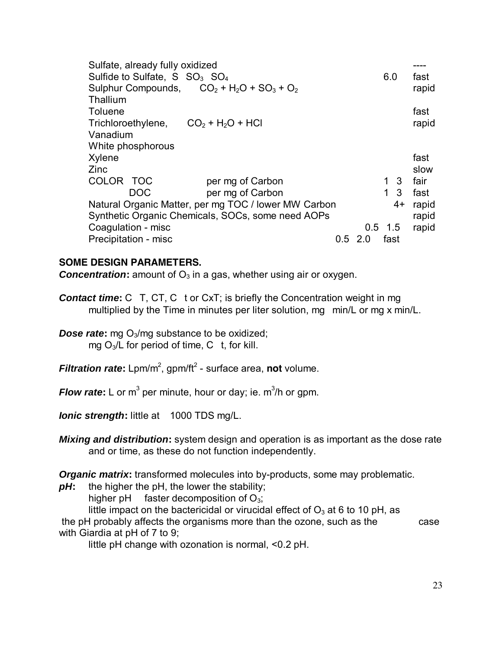| Sulfate, already fully oxidized<br>Sulfide to Sulfate, $S$ $SO_3$ $SO_4$ |           | 6.0         |      | fast  |
|--------------------------------------------------------------------------|-----------|-------------|------|-------|
| Sulphur Compounds, $CO_2 + H_2O + SO_3 + O_2$                            |           |             |      | rapid |
| Thallium                                                                 |           |             |      |       |
| Toluene                                                                  |           |             |      | fast  |
| Trichloroethylene, $CO_2 + H_2O + HCl$                                   |           |             |      | rapid |
| Vanadium                                                                 |           |             |      |       |
| White phosphorous                                                        |           |             |      |       |
| Xylene                                                                   |           |             |      | fast  |
| <b>Zinc</b>                                                              |           |             |      | slow  |
| COLOR TOC<br>per mg of Carbon                                            |           | 1 3         |      | fair  |
| <b>DOC</b><br>per mg of Carbon                                           |           | $\mathbf 1$ | 3    | fast  |
| Natural Organic Matter, per mg TOC / lower MW Carbon                     |           |             | $4+$ | rapid |
| Synthetic Organic Chemicals, SOCs, some need AOPs                        |           |             |      | rapid |
| Coagulation - misc                                                       | $0.5$ 1.5 |             |      | rapid |
| Precipitation - misc<br>$0.5$ 2.0                                        |           | fast        |      |       |

#### **SOME DESIGN PARAMETERS.**

**Concentration:** amount of O<sub>3</sub> in a gas, whether using air or oxygen.

- **Contact time:** C T, CT, C t or CxT; is briefly the Concentration weight in mg multiplied by the Time in minutes per liter solution, mg min/L or mg x min/L.
- **Dose rate:** mg O<sub>3</sub>/mg substance to be oxidized; mg  $O_3/L$  for period of time, C t, for kill.
- **Filtration rate:** Lpm/m<sup>2</sup>, gpm/ft<sup>2</sup> surface area, not volume.
- **Flow rate:** L or m<sup>3</sup> per minute, hour or day; ie. m<sup>3</sup>/h or gpm.

**Ionic strength:** little at 1000 TDS mg/L.

**Mixing and distribution:** system design and operation is as important as the dose rate and or time, as these do not function independently.

**Organic matrix:** transformed molecules into by-products, some may problematic.

*pH***:** the higher the pH, the lower the stability;

higher pH faster decomposition of  $O_3$ ;

little impact on the bactericidal or virucidal effect of  $O_3$  at 6 to 10 pH, as the pH probably affects the organisms more than the ozone, such as the case

with Giardia at pH of 7 to 9;

little pH change with ozonation is normal, <0.2 pH.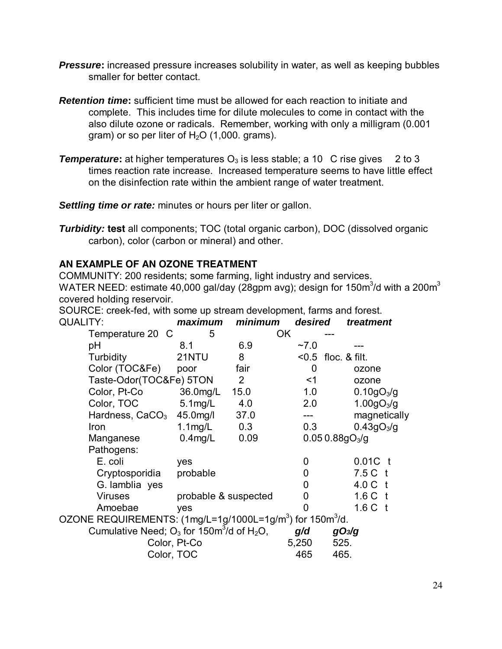- **Pressure:** increased pressure increases solubility in water, as well as keeping bubbles smaller for better contact.
- **Retention time:** sufficient time must be allowed for each reaction to initiate and complete. This includes time for dilute molecules to come in contact with the also dilute ozone or radicals. Remember, working with only a milligram (0.001 gram) or so per liter of  $H<sub>2</sub>O$  (1,000. grams).
- **Temperature:** at higher temperatures  $O_3$  is less stable; a 10 C rise gives 2 to 3 times reaction rate increase. Increased temperature seems to have little effect on the disinfection rate within the ambient range of water treatment.

**Settling time or rate:** minutes or hours per liter or gallon.

**Turbidity: test** all components; TOC (total organic carbon), DOC (dissolved organic carbon), color (carbon or mineral) and other.

# **AN EXAMPLE OF AN OZONE TREATMENT**

COMMUNITY: 200 residents; some farming, light industry and services. WATER NEED: estimate 40,000 gal/day (28gpm avg); design for 150m $3/$ d with a 200m $3$ covered holding reservoir.

SOURCE: creek-fed, with some up stream development, farms and forest. QUALITY: **maximum minimum desired treatment**

| Temperature 20 C                                                                  | 5                    |                | OK         |                            |                        |
|-----------------------------------------------------------------------------------|----------------------|----------------|------------|----------------------------|------------------------|
| pH                                                                                | 8.1                  | 6.9            | $~1$ - 7.0 |                            |                        |
| Turbidity                                                                         | 21NTU                | 8              |            | $<$ 0.5 floc. & filt.      |                        |
| Color (TOC&Fe)                                                                    | poor                 | fair           | 0          |                            | ozone                  |
| Taste-Odor(TOC&Fe) 5TON                                                           |                      | $\overline{2}$ | <1         |                            | ozone                  |
| Color, Pt-Co                                                                      | 36.0mg/L             | 15.0           | 1.0        |                            | 0.10gO <sub>3</sub> /g |
| Color, TOC                                                                        | $5.1$ mg/L           | 4.0            | 2.0        |                            | 1.00gO <sub>3</sub> /g |
| Hardness, CaCO <sub>3</sub>                                                       | 45.0mg/l             | 37.0           |            |                            | magnetically           |
| Iron                                                                              | $1.1$ mg/L           | 0.3            | 0.3        |                            | 0.43gO <sub>3</sub> /g |
| Manganese                                                                         | $0.4$ mg/L           | 0.09           |            | 0.050.88gO <sub>3</sub> /g |                        |
| Pathogens:                                                                        |                      |                |            |                            |                        |
| E. coli                                                                           | yes                  |                | 0          |                            | 0.01C                  |
| Cryptosporidia                                                                    | probable             |                | 0          |                            | 7.5 C                  |
| G lamblia yes                                                                     |                      |                | 0          |                            | 4.0 C t                |
| <b>Viruses</b>                                                                    | probable & suspected |                | 0          |                            | 1.6 C t                |
| Amoebae                                                                           | yes                  |                | 0          |                            | 1.6 C t                |
| OZONE REQUIREMENTS: (1mg/L=1g/1000L=1g/m <sup>3</sup> ) for 150m <sup>3</sup> /d. |                      |                |            |                            |                        |
| Cumulative Need; $O_3$ for 150 $m^3$ /d of H <sub>2</sub> O,                      |                      |                | q/d        | qO <sub>3</sub> /q         |                        |
|                                                                                   | Color, Pt-Co         |                | 5,250      | 525.                       |                        |
|                                                                                   | Color, TOC           |                | 465        | 465.                       |                        |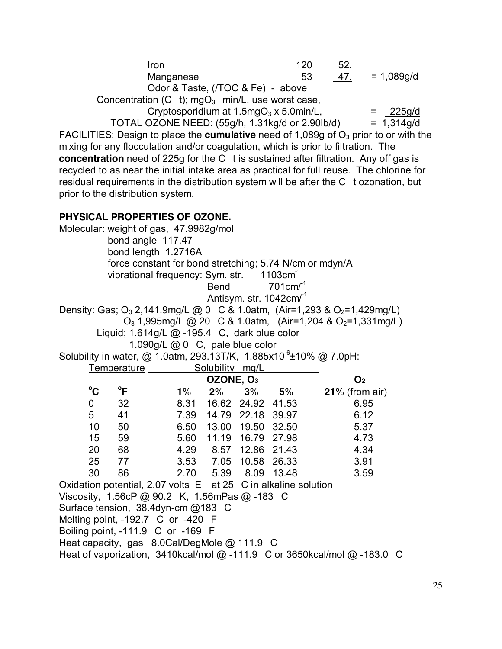| Iron<br>Manganese<br>Odor & Taste, (/TOC & Fe) - above                                                                                                                                                                                                                                                                                                                                                                                                                                                                                                                                                                | 120<br>52.<br>53<br>47.              | $= 1,089g/d$           |
|-----------------------------------------------------------------------------------------------------------------------------------------------------------------------------------------------------------------------------------------------------------------------------------------------------------------------------------------------------------------------------------------------------------------------------------------------------------------------------------------------------------------------------------------------------------------------------------------------------------------------|--------------------------------------|------------------------|
| Concentration (C t); $mgO_3$ min/L, use worst case,<br>Cryptosporidium at $1.5mgO3 \times 5.0m in/L$ ,<br>TOTAL OZONE NEED: (55g/h, 1.31kg/d or 2.90lb/d)<br>FACILITIES: Design to place the cumulative need of 1,089g of $O3$ prior to or with the<br>mixing for any flocculation and/or coagulation, which is prior to filtration. The<br>concentration need of 225g for the C t is sustained after filtration. Any off gas is<br>recycled to as near the initial intake area as practical for full reuse. The chlorine for<br>residual requirements in the distribution system will be after the C tozonation, but | $=$                                  | 225g/d<br>$= 1,314q/d$ |
| prior to the distribution system.                                                                                                                                                                                                                                                                                                                                                                                                                                                                                                                                                                                     |                                      |                        |
| PHYSICAL PROPERTIES OF OZONE.<br>Molecular: weight of gas, 47.9982g/mol<br>bond angle 117.47<br>bond length 1.2716A<br>force constant for bond stretching; 5.74 N/cm or mdyn/A<br>vibrational frequency: Sym. str. 1103cm <sup>-1</sup><br><b>Bend</b><br>Antisym. str. 1042cm/ <sup>-1</sup><br>Density: Gas; O <sub>3</sub> 2,141.9mg/L @ 0 C & 1.0atm, (Air=1,293 & O <sub>2</sub> =1,429mg/L)<br>$O_3$ 1,995mg/L @ 20 C & 1.0atm, (Air=1,204 & $O_2$ =1,331mg/L)<br>Liquid; 1.614g/L @ -195.4 C, dark blue color<br>1.090g/L @ 0 C, pale blue color                                                               | $701 \text{cm}^{-1}$                 |                        |
| Solubility in water, @ 1.0atm, 293.13T/K, 1.885x10 <sup>6</sup> ±10% @ 7.0pH:<br>Solubility mg/L<br>Temperature                                                                                                                                                                                                                                                                                                                                                                                                                                                                                                       |                                      |                        |
| OZONE, O <sub>3</sub>                                                                                                                                                                                                                                                                                                                                                                                                                                                                                                                                                                                                 | O <sub>2</sub>                       |                        |
| $^{\circ}$ C<br>$\mathsf{P}$<br>$1\%$<br>2%                                                                                                                                                                                                                                                                                                                                                                                                                                                                                                                                                                           | $3\%$ 5%<br>$21\%$ (from air)        |                        |
| 8.31 16.62 24.92 41.53<br>32<br>0                                                                                                                                                                                                                                                                                                                                                                                                                                                                                                                                                                                     | 6.95                                 |                        |
| 5<br>41<br>14.79 22.18 39.97<br>7.39                                                                                                                                                                                                                                                                                                                                                                                                                                                                                                                                                                                  | 6.12                                 |                        |
| 6.50<br>13.00 19.50<br>10<br>50<br>15<br>11.19<br>59<br>5.60                                                                                                                                                                                                                                                                                                                                                                                                                                                                                                                                                          | 32.50<br>5.37<br>16.79 27.98<br>4.73 |                        |
| 20<br>68<br>4.29 8.57                                                                                                                                                                                                                                                                                                                                                                                                                                                                                                                                                                                                 | 12.86 21.43<br>4.34                  |                        |
| 25<br>77<br>3.53 7.05 10.58 26.33                                                                                                                                                                                                                                                                                                                                                                                                                                                                                                                                                                                     | 3.91                                 |                        |
| 30<br>86<br>2.70<br>5.39 8.09 13.48                                                                                                                                                                                                                                                                                                                                                                                                                                                                                                                                                                                   | 3.59                                 |                        |
| Oxidation potential, 2.07 volts E at 25 C in alkaline solution<br>Viscosity, 1.56cP @ 90.2 K, 1.56mPas @ -183 C<br>Surface tension, 38.4dyn-cm @183 C<br>Melting point, -192.7 C or -420 F<br>Boiling point, -111.9 C or -169 F<br>Heat capacity, gas 8.0Cal/DegMole @ 111.9 C<br>Heat of vaporization, 3410kcal/mol @ -111.9 C or 3650kcal/mol @ -183.0 C                                                                                                                                                                                                                                                            |                                      |                        |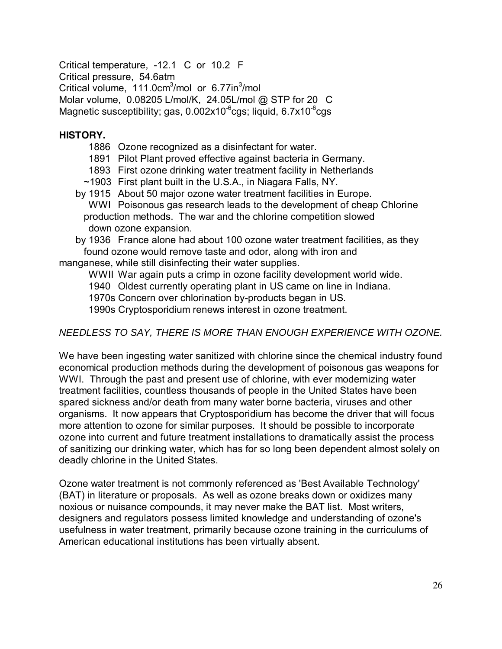Critical temperature, -12.1 C or 10.2 F Critical pressure, 54.6atm Critical volume, 111.0cm<sup>3</sup>/mol or 6.77in<sup>3</sup>/mol Molar volume, 0.08205 L/mol/K, 24.05L/mol @ STP for 20 C Magnetic susceptibility; gas, 0.002x10<sup>-6</sup>cgs; liquid, 6.7x10<sup>-6</sup>cgs

#### **HISTORY.**

- 1886 Ozone recognized as a disinfectant for water.
- 1891 Pilot Plant proved effective against bacteria in Germany.
- 1893 First ozone drinking water treatment facility in Netherlands
- ~1903 First plant built in the U.S.A., in Niagara Falls, NY.
- by 1915 About 50 major ozone water treatment facilities in Europe. WWI Poisonous gas research leads to the development of cheap Chlorine production methods. The war and the chlorine competition slowed down ozone expansion.

by 1936 France alone had about 100 ozone water treatment facilities, as they found ozone would remove taste and odor, along with iron and

manganese, while still disinfecting their water supplies.

WWII War again puts a crimp in ozone facility development world wide.

1940 Oldest currently operating plant in US came on line in Indiana.

1970s Concern over chlorination by-products began in US.

1990s Cryptosporidium renews interest in ozone treatment.

# NEEDLESS TO SAY, THERE IS MORE THAN ENOUGH EXPERIENCE WITH OZONE.

We have been ingesting water sanitized with chlorine since the chemical industry found economical production methods during the development of poisonous gas weapons for WWI. Through the past and present use of chlorine, with ever modernizing water treatment facilities, countless thousands of people in the United States have been spared sickness and/or death from many water borne bacteria, viruses and other organisms. It now appears that Cryptosporidium has become the driver that will focus more attention to ozone for similar purposes. It should be possible to incorporate ozone into current and future treatment installations to dramatically assist the process of sanitizing our drinking water, which has for so long been dependent almost solely on deadly chlorine in the United States.

Ozone water treatment is not commonly referenced as 'Best Available Technology' (BAT) in literature or proposals. As well as ozone breaks down or oxidizes many noxious or nuisance compounds, it may never make the BAT list. Most writers, designers and regulators possess limited knowledge and understanding of ozone's usefulness in water treatment, primarily because ozone training in the curriculums of American educational institutions has been virtually absent.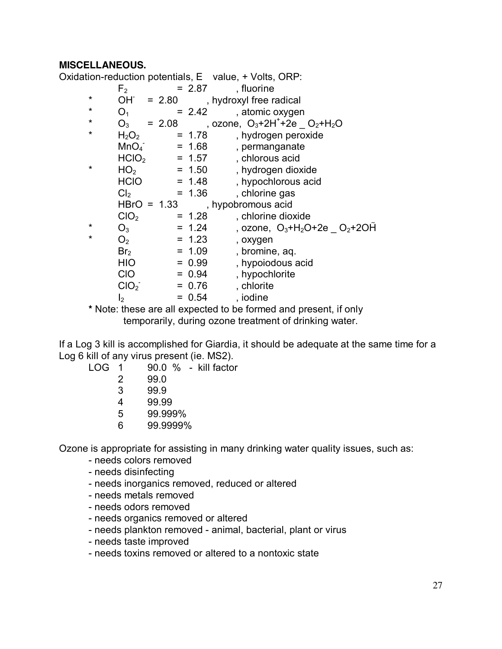#### **MISCELLANEOUS.**

Oxidation-reduction potentials, E value, + Volts, ORP:

|         | F <sub>2</sub>                |               | $= 2.87$ | , fluorine                                                       |
|---------|-------------------------------|---------------|----------|------------------------------------------------------------------|
| $\star$ |                               |               |          | $OH = 2.80$ , hydroxyl free radical                              |
| $\star$ | O <sub>1</sub>                |               | $= 2.42$ | , atomic oxygen                                                  |
| *       | $O_3$                         | $= 2.08$      |          | , ozone, $O_3+2H^++2e$ $O_2+H_2O$                                |
| $\star$ | H <sub>2</sub> O <sub>2</sub> |               | $= 1.78$ | , hydrogen peroxide                                              |
|         | MnO <sub>4</sub>              |               | $= 1.68$ | , permanganate                                                   |
|         | HClO <sub>2</sub>             |               | $= 1.57$ | , chlorous acid                                                  |
| $\star$ | HO <sub>2</sub>               |               | $= 1.50$ | , hydrogen dioxide                                               |
|         | <b>HCIO</b>                   |               | $= 1.48$ | , hypochlorous acid                                              |
|         | Cl <sub>2</sub>               |               | $= 1.36$ | , chlorine gas                                                   |
|         |                               | $HBrO = 1.33$ |          | , hypobromous acid                                               |
|         | ClO <sub>2</sub>              |               | $= 1.28$ | , chlorine dioxide                                               |
| $\star$ | $O_3$                         |               | $= 1.24$ | , ozone, $O_3+H_2O+2e$ $O_2+2OH$                                 |
| $\star$ | O <sub>2</sub>                |               | $= 1.23$ | , oxygen                                                         |
|         | Br <sub>2</sub>               |               | $= 1.09$ | , bromine, aq.                                                   |
|         | <b>HIO</b>                    |               | $= 0.99$ | , hypoiodous acid                                                |
|         | <b>CIO</b>                    |               | $= 0.94$ | , hypochlorite                                                   |
|         | ClO <sub>2</sub>              |               | $= 0.76$ | , chlorite                                                       |
|         | $\mathsf{I}_2$                |               | $= 0.54$ | , iodine                                                         |
|         |                               |               |          | * Note: these are all expected to be formed and present, if only |
|         |                               |               |          |                                                                  |

temporarily, during ozone treatment of drinking water.

If a Log 3 kill is accomplished for Giardia, it should be adequate at the same time for a Log 6 kill of any virus present (ie. MS2).

| LOG 1 |   |      | $90.0 \%$ - kill factor |
|-------|---|------|-------------------------|
|       |   | 99.0 |                         |
|       | 3 | 99.9 |                         |

- 4 99.99
- 5 99.999%
- 6 99.9999%

Ozone is appropriate for assisting in many drinking water quality issues, such as:

- needs colors removed
- needs disinfecting
- needs inorganics removed, reduced or altered
- needs metals removed
- needs odors removed
- needs organics removed or altered
- needs plankton removed animal, bacterial, plant or virus
- needs taste improved
- needs toxins removed or altered to a nontoxic state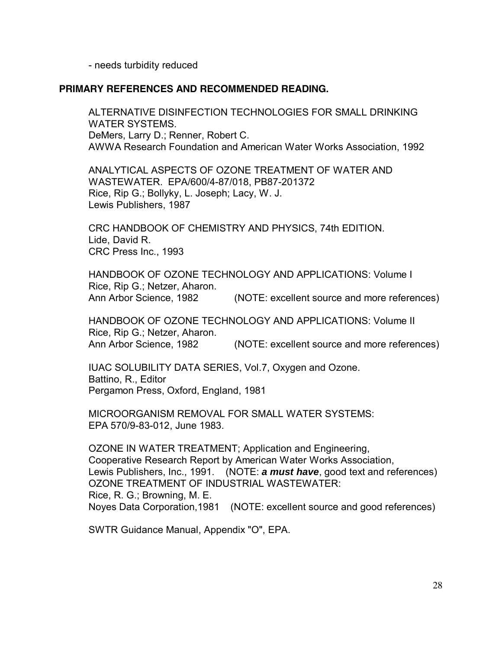- needs turbidity reduced

#### **PRIMARY REFERENCES AND RECOMMENDED READING.**

ALTERNATIVE DISINFECTION TECHNOLOGIES FOR SMALL DRINKING WATER SYSTEMS. DeMers, Larry D.; Renner, Robert C. AWWA Research Foundation and American Water Works Association, 1992

ANALYTICAL ASPECTS OF OZONE TREATMENT OF WATER AND WASTEWATER. EPA/600/4-87/018, PB87-201372 Rice, Rip G.; Bollyky, L. Joseph; Lacy, W. J. Lewis Publishers, 1987

CRC HANDBOOK OF CHEMISTRY AND PHYSICS, 74th EDITION. Lide, David R. CRC Press Inc., 1993

HANDBOOK OF OZONE TECHNOLOGY AND APPLICATIONS: Volume I Rice, Rip G.; Netzer, Aharon. Ann Arbor Science, 1982 (NOTE: excellent source and more references)

HANDBOOK OF OZONE TECHNOLOGY AND APPLICATIONS: Volume II Rice, Rip G.; Netzer, Aharon. Ann Arbor Science, 1982 (NOTE: excellent source and more references)

IUAC SOLUBILITY DATA SERIES, Vol.7, Oxygen and Ozone. Battino, R., Editor Pergamon Press, Oxford, England, 1981

MICROORGANISM REMOVAL FOR SMALL WATER SYSTEMS: EPA 570/9-83-012, June 1983.

OZONE IN WATER TREATMENT; Application and Engineering, Cooperative Research Report by American Water Works Association, Lewis Publishers, Inc., 1991. (NOTE: **a must have**, good text and references) OZONE TREATMENT OF INDUSTRIAL WASTEWATER: Rice, R. G.; Browning, M. E. Noyes Data Corporation,1981 (NOTE: excellent source and good references)

SWTR Guidance Manual, Appendix "O", EPA.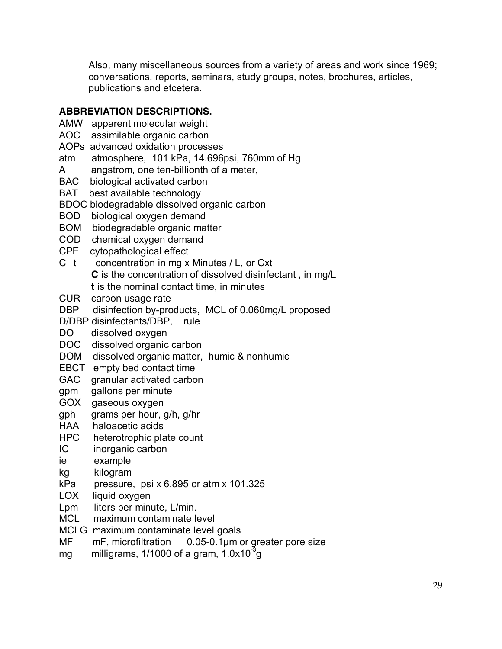Also, many miscellaneous sources from a variety of areas and work since 1969; conversations, reports, seminars, study groups, notes, brochures, articles, publications and etcetera.

# **ABBREVIATION DESCRIPTIONS.**

- AMW apparent molecular weight
- AOC assimilable organic carbon
- AOPs advanced oxidation processes
- atm atmosphere, 101 kPa, 14.696psi, 760mm of Hg
- A angstrom, one ten-billionth of a meter,
- BAC biological activated carbon
- BAT best available technology
- BDOC biodegradable dissolved organic carbon
- BOD biological oxygen demand
- BOM biodegradable organic matter
- COD chemical oxygen demand
- CPE cytopathological effect
- C t concentration in mg x Minutes / L, or Cxt **C** is the concentration of dissolved disinfectant , in mg/L **t** is the nominal contact time, in minutes
- CUR carbon usage rate
- DBP disinfection by-products, MCL of 0.060mg/L proposed
- D/DBP disinfectants/DBP, rule
- DO dissolved oxygen
- DOC dissolved organic carbon
- DOM dissolved organic matter, humic & nonhumic
- EBCT empty bed contact time
- GAC granular activated carbon
- gpm gallons per minute
- GOX gaseous oxygen
- gph grams per hour, g/h, g/hr
- HAA haloacetic acids
- HPC heterotrophic plate count
- IC inorganic carbon
- ie example
- kg kilogram
- $kPa$  pressure, psi x 6.895 or atm x 101.325
- LOX liquid oxygen
- Lpm liters per minute, L/min.
- MCL maximum contaminate level
- MCLG maximum contaminate level goals
- MF mF, microfiltration 0.05-0.1um or greater pore size
- mg  $\qquad$  milligrams, 1/1000 of a gram, 1.0x10 $^3$ g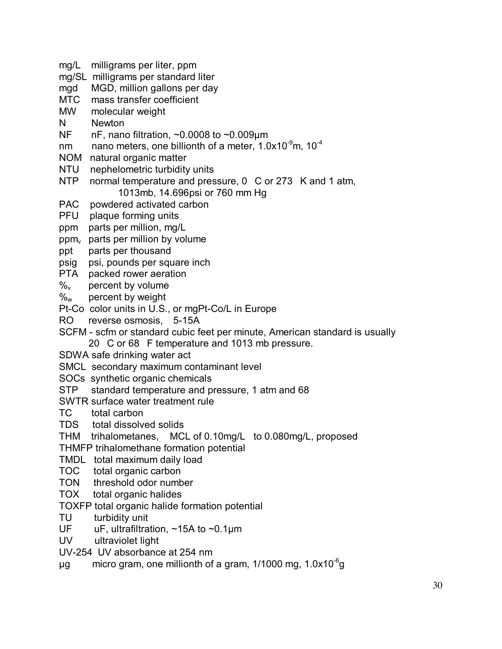- mg/L milligrams per liter, ppm
- mg/SL milligrams per standard liter
- mgd MGD, million gallons per day
- MTC mass transfer coefficient
- MW molecular weight
- N Newton
- NF nF, nano filtration, ~0.0008 to ~0.009µm
- nm ano meters, one billionth of a meter, 1.0x10 $^9$ m, 10 $^4$
- NOM natural organic matter
- NTU nephelometric turbidity units
- NTP normal temperature and pressure, 0 C or 273 K and 1 atm, 1013mb, 14.696psi or 760 mm Hg
- PAC powdered activated carbon
- PFU plaque forming units
- ppm parts per million, mg/L
- $ppm<sub>v</sub>$  parts per million by volume
- ppt parts per thousand
- psig psi, pounds per square inch
- PTA packed rower aeration
- $\%$ <sub>v</sub> percent by volume
- $\%_{w}$  percent by weight
- Pt-Co color units in U.S., or mgPt-Co/L in Europe
- RO reverse osmosis, 5-15A
- SCFM scfm or standard cubic feet per minute, American standard is usually
	- 20 C or 68 F temperature and 1013 mb pressure.
- SDWA safe drinking water act
- SMCL secondary maximum contaminant level
- SOCs synthetic organic chemicals
- STP standard temperature and pressure, 1 atm and 68
- SWTR surface water treatment rule
- TC total carbon
- TDS total dissolved solids
- THM trihalometanes, MCL of 0.10mg/L to 0.080mg/L, proposed
- THMFP trihalomethane formation potential
- TMDL total maximum daily load
- TOC total organic carbon
- TON threshold odor number
- TOX total organic halides
- TOXFP total organic halide formation potential
- TU turbidity unit
- UF uF, ultrafiltration, ~15A to ~0.1µm
- UV ultraviolet light
- UV-254 UV absorbance at 254 nm
- $\mu$ g micro gram, one millionth of a gram, 1/1000 mg, 1.0x10<sup>-6</sup>g